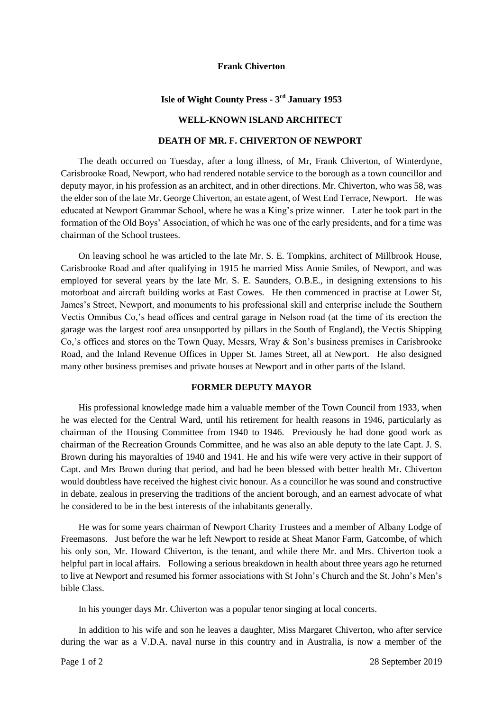#### **Frank Chiverton**

# **Isle of Wight County Press - 3 rd January 1953**

## **WELL-KNOWN ISLAND ARCHITECT**

## **DEATH OF MR. F. CHIVERTON OF NEWPORT**

The death occurred on Tuesday, after a long illness, of Mr, Frank Chiverton, of Winterdyne, Carisbrooke Road, Newport, who had rendered notable service to the borough as a town councillor and deputy mayor, in his profession as an architect, and in other directions. Mr. Chiverton, who was 58, was the elder son of the late Mr. George Chiverton, an estate agent, of West End Terrace, Newport. He was educated at Newport Grammar School, where he was a King's prize winner. Later he took part in the formation of the Old Boys' Association, of which he was one of the early presidents, and for a time was chairman of the School trustees.

On leaving school he was articled to the late Mr. S. E. Tompkins, architect of Millbrook House, Carisbrooke Road and after qualifying in 1915 he married Miss Annie Smiles, of Newport, and was employed for several years by the late Mr. S. E. Saunders, O.B.E., in designing extensions to his motorboat and aircraft building works at East Cowes. He then commenced in practise at Lower St, James's Street, Newport, and monuments to his professional skill and enterprise include the Southern Vectis Omnibus Co,'s head offices and central garage in Nelson road (at the time of its erection the garage was the largest roof area unsupported by pillars in the South of England), the Vectis Shipping Co,'s offices and stores on the Town Quay, Messrs, Wray & Son's business premises in Carisbrooke Road, and the Inland Revenue Offices in Upper St. James Street, all at Newport. He also designed many other business premises and private houses at Newport and in other parts of the Island.

## **FORMER DEPUTY MAYOR**

His professional knowledge made him a valuable member of the Town Council from 1933, when he was elected for the Central Ward, until his retirement for health reasons in 1946, particularly as chairman of the Housing Committee from 1940 to 1946. Previously he had done good work as chairman of the Recreation Grounds Committee, and he was also an able deputy to the late Capt. J. S. Brown during his mayoralties of 1940 and 1941. He and his wife were very active in their support of Capt. and Mrs Brown during that period, and had he been blessed with better health Mr. Chiverton would doubtless have received the highest civic honour. As a councillor he was sound and constructive in debate, zealous in preserving the traditions of the ancient borough, and an earnest advocate of what he considered to be in the best interests of the inhabitants generally.

He was for some years chairman of Newport Charity Trustees and a member of Albany Lodge of Freemasons. Just before the war he left Newport to reside at Sheat Manor Farm, Gatcombe, of which his only son, Mr. Howard Chiverton, is the tenant, and while there Mr. and Mrs. Chiverton took a helpful part in local affairs. Following a serious breakdown in health about three years ago he returned to live at Newport and resumed his former associations with St John's Church and the St. John's Men's bible Class.

In his younger days Mr. Chiverton was a popular tenor singing at local concerts.

In addition to his wife and son he leaves a daughter, Miss Margaret Chiverton, who after service during the war as a V.D.A. naval nurse in this country and in Australia, is now a member of the